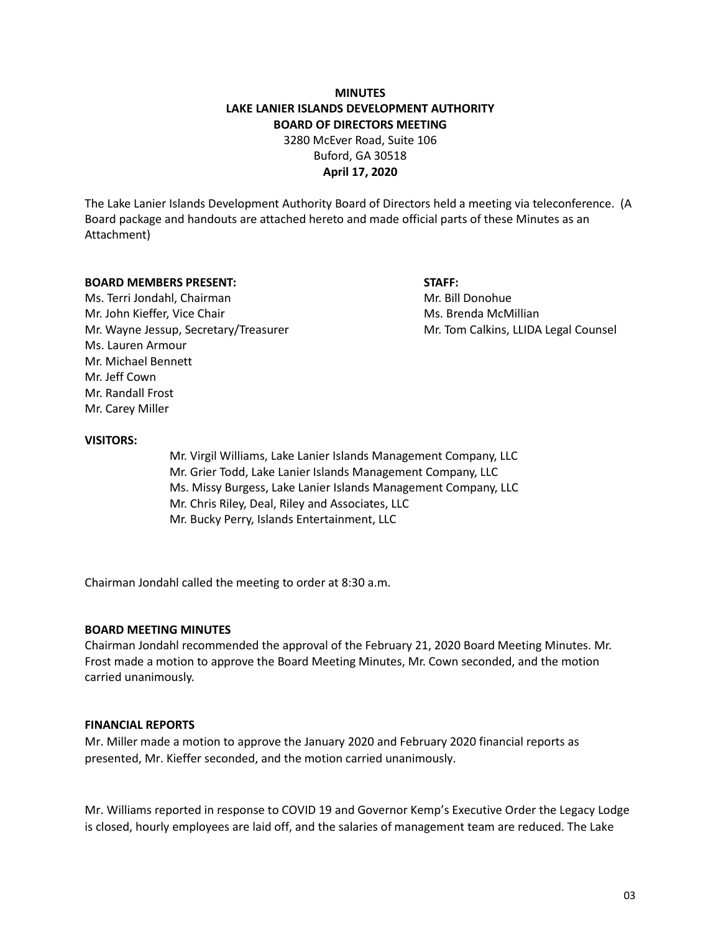# **MINUTES LAKE LANIER ISLANDS DEVELOPMENT AUTHORITY BOARD OF DIRECTORS MEETING**

3280 McEver Road, Suite 106 Buford, GA 30518 **April 17, 2020**

The Lake Lanier Islands Development Authority Board of Directors held a meeting via teleconference. (A Board package and handouts are attached hereto and made official parts of these Minutes as an Attachment)

#### **BOARD MEMBERS PRESENT: STAFF:**

Ms. Terri Jondahl, Chairman Mr. Bill Donohue Mr. John Kieffer, Vice Chair Michael McMillian Ms. Brenda McMillian Mr. Wayne Jessup, Secretary/Treasurer Mr. Tom Calkins, LLIDA Legal Counsel Ms. Lauren Armour Mr. Michael Bennett Mr. Jeff Cown Mr. Randall Frost Mr. Carey Miller

#### **VISITORS:**

Mr. Virgil Williams, Lake Lanier Islands Management Company, LLC Mr. Grier Todd, Lake Lanier Islands Management Company, LLC Ms. Missy Burgess, Lake Lanier Islands Management Company, LLC Mr. Chris Riley, Deal, Riley and Associates, LLC Mr. Bucky Perry, Islands Entertainment, LLC

Chairman Jondahl called the meeting to order at 8:30 a.m.

## **BOARD MEETING MINUTES**

Chairman Jondahl recommended the approval of the February 21, 2020 Board Meeting Minutes. Mr. Frost made a motion to approve the Board Meeting Minutes, Mr. Cown seconded, and the motion carried unanimously.

## **FINANCIAL REPORTS**

Mr. Miller made a motion to approve the January 2020 and February 2020 financial reports as presented, Mr. Kieffer seconded, and the motion carried unanimously.

Mr. Williams reported in response to COVID 19 and Governor Kemp's Executive Order the Legacy Lodge is closed, hourly employees are laid off, and the salaries of management team are reduced. The Lake